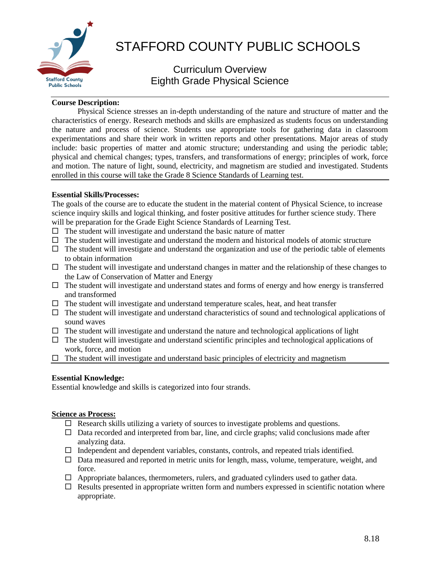

# STAFFORD COUNTY PUBLIC SCHOOLS

# Curriculum Overview Eighth Grade Physical Science

## **Course Description:**

Physical Science stresses an in-depth understanding of the nature and structure of matter and the characteristics of energy. Research methods and skills are emphasized as students focus on understanding the nature and process of science. Students use appropriate tools for gathering data in classroom experimentations and share their work in written reports and other presentations. Major areas of study include: basic properties of matter and atomic structure; understanding and using the periodic table; physical and chemical changes; types, transfers, and transformations of energy; principles of work, force and motion. The nature of light, sound, electricity, and magnetism are studied and investigated. Students enrolled in this course will take the Grade 8 Science Standards of Learning test.

### **Essential Skills/Processes:**

The goals of the course are to educate the student in the material content of Physical Science, to increase science inquiry skills and logical thinking, and foster positive attitudes for further science study. There will be preparation for the Grade Eight Science Standards of Learning Test.

- $\Box$  The student will investigate and understand the basic nature of matter
- $\Box$  The student will investigate and understand the modern and historical models of atomic structure
- $\Box$  The student will investigate and understand the organization and use of the periodic table of elements to obtain information
- $\Box$  The student will investigate and understand changes in matter and the relationship of these changes to the Law of Conservation of Matter and Energy
- $\Box$  The student will investigate and understand states and forms of energy and how energy is transferred and transformed
- $\Box$  The student will investigate and understand temperature scales, heat, and heat transfer
- $\Box$  The student will investigate and understand characteristics of sound and technological applications of sound waves
- $\Box$  The student will investigate and understand the nature and technological applications of light
- $\Box$  The student will investigate and understand scientific principles and technological applications of work, force, and motion
- $\Box$  The student will investigate and understand basic principles of electricity and magnetism

# **Essential Knowledge:**

Essential knowledge and skills is categorized into four strands.

#### **Science as Process:**

- $\Box$  Research skills utilizing a variety of sources to investigate problems and questions.
- $\Box$  Data recorded and interpreted from bar, line, and circle graphs; valid conclusions made after analyzing data.
- $\Box$  Independent and dependent variables, constants, controls, and repeated trials identified.
- $\Box$  Data measured and reported in metric units for length, mass, volume, temperature, weight, and force.
- $\Box$  Appropriate balances, thermometers, rulers, and graduated cylinders used to gather data.
- $\Box$  Results presented in appropriate written form and numbers expressed in scientific notation where appropriate.